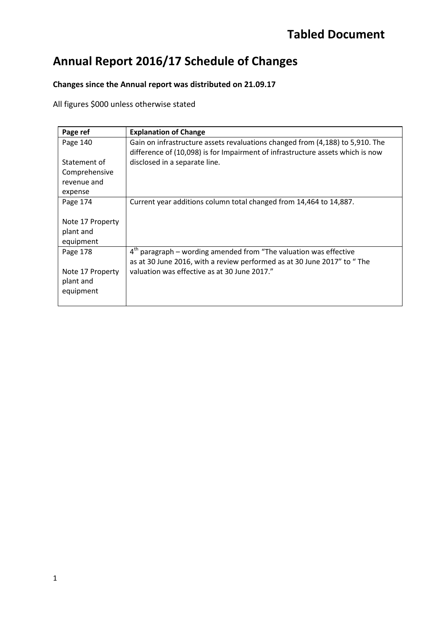# **Annual Report 2016/17 Schedule of Changes**

### **Changes since the Annual report was distributed on 21.09.17**

All figures \$000 unless otherwise stated

| Page ref                                                | <b>Explanation of Change</b>                                                                                                                                    |
|---------------------------------------------------------|-----------------------------------------------------------------------------------------------------------------------------------------------------------------|
| Page 140                                                | Gain on infrastructure assets revaluations changed from (4,188) to 5,910. The<br>difference of (10,098) is for Impairment of infrastructure assets which is now |
| Statement of<br>Comprehensive<br>revenue and<br>expense | disclosed in a separate line.                                                                                                                                   |
| Page 174                                                | Current year additions column total changed from 14,464 to 14,887.                                                                                              |
| Note 17 Property<br>plant and<br>equipment              |                                                                                                                                                                 |
| Page 178                                                | $4th$ paragraph – wording amended from "The valuation was effective<br>as at 30 June 2016, with a review performed as at 30 June 2017" to "The                  |
| Note 17 Property<br>plant and<br>equipment              | valuation was effective as at 30 June 2017."                                                                                                                    |